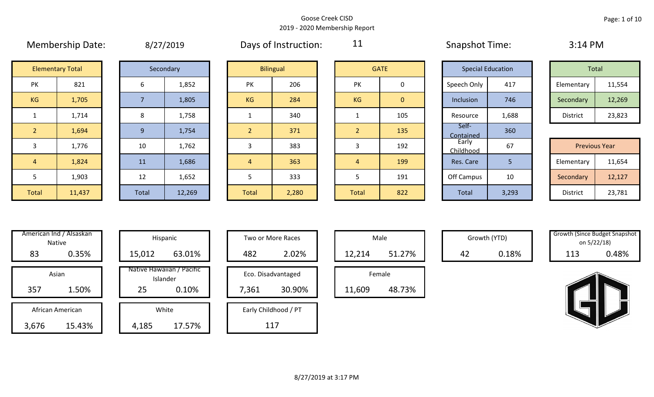|                |                         |  |                | $U = 1, 2, 3$ |                |                  |                |                | <b>SHAPSHOL LINING</b> |                          | - - - - - - - - -    |        |
|----------------|-------------------------|--|----------------|---------------|----------------|------------------|----------------|----------------|------------------------|--------------------------|----------------------|--------|
|                | <b>Elementary Total</b> |  |                | Secondary     |                | <b>Bilingual</b> |                | <b>GATE</b>    |                        | <b>Special Education</b> | Total                |        |
| PK             | 821                     |  | 6              | 1,852         | PK             | 206              | PK             | 0              | Speech Only            | 417                      | Elementary           | 11,554 |
| KG             | 1,705                   |  | $\overline{7}$ | 1,805         | <b>KG</b>      | 284              | <b>KG</b>      | $\overline{0}$ | Inclusion              | 746                      | Secondary            | 12,269 |
| $\mathbf{1}$   | 1,714                   |  | 8              | 1,758         |                | 340              |                | 105            | Resource               | 1,688                    | District             | 23,823 |
| 2 <sup>1</sup> | 1,694                   |  | 9              | 1,754         | $\overline{2}$ | 371              | 2 <sup>1</sup> | 135            | Self-<br>Contained     | 360                      |                      |        |
| 3              | 1,776                   |  | 10             | 1,762         | 3              | 383              | 3              | 192            | Early<br>Childhood     | 67                       | <b>Previous Year</b> |        |
| $\overline{4}$ | 1,824                   |  | 11             | 1,686         | $\overline{4}$ | 363              | 4              | 199            | Res. Care              | 5                        | Elementary           | 11,654 |
| 5              | 1,903                   |  | 12             | 1,652         | 5              | 333              |                | 191            | Off Campus             | 10                       | Secondary            | 12,127 |
| Total          | 11,437                  |  | Total          | 12,269        | <b>Total</b>   | 2,280            | Total          | 822            | Total                  | 3,293                    | District             | 23,781 |

| 8/27/2019 |  |
|-----------|--|
|-----------|--|

Membership Date:  $\qquad \qquad 8/27/2019$  Days of Instruction:  $\qquad \qquad 11$  Snapshot Time: 3:14 PM

11

|                      | <b>Elementary Total</b> |  | Secondary |           | <b>Bilingual</b> |           | <b>GATE</b> |             | <b>Special Education</b> | Total      |        |
|----------------------|-------------------------|--|-----------|-----------|------------------|-----------|-------------|-------------|--------------------------|------------|--------|
| ∕ו ר<br>$\mathbf{N}$ | 821                     |  | 1,852     | PK        | 206              | PK        |             | Speech Only | 417                      | Elementary | 11,554 |
| G                    | 1,705                   |  | 1,805     | <b>KG</b> | 284              | <b>KG</b> | 0           | Inclusion   | 746                      | Secondary  | 12,269 |
|                      | 1,714                   |  | 1,758     |           | 340              |           | 105         | Resource    | 1,688                    | District   | 23,823 |

|             |        |       |        |       |       |              |     | __________         |       |                      |        |
|-------------|--------|-------|--------|-------|-------|--------------|-----|--------------------|-------|----------------------|--------|
|             | 1,776  | 10    | 1,762  |       | 383   |              | 192 | Early<br>Childhood | 67    | <b>Previous Year</b> |        |
|             | 1,824  | 11    | 1,686  |       | 363   |              | 199 | Res. Care          |       | Elementary           | 11,654 |
|             | 1,903  | 12    | 1,652  |       | 333   |              | 191 | Off Campus         | 10    | Secondary            | 12,127 |
| <b>otal</b> | 11,437 | Total | 12,269 | Total | 2,280 | <b>Total</b> | 822 | Total              | 3,293 | District             | 23,781 |

| Hispani                    | American Ind / Alsaskan<br><b>Native</b> |       |
|----------------------------|------------------------------------------|-------|
| 15,012                     | 0.35%                                    | 83    |
| Native Hawaiiai<br>Islande | Asian                                    |       |
| 25                         | 1.50%                                    | 357   |
|                            |                                          |       |
| White                      | African American                         |       |
| 4,185                      | 15.43%                                   | 3,676 |

|       | American Ind / Alsaskan<br>Native |        | Hispanic                              |       | Two or More Races    |        | Male   |    | Growth (YTD) | <b>Growth (Since Budget Snaps)</b> | on 5/22/18) |
|-------|-----------------------------------|--------|---------------------------------------|-------|----------------------|--------|--------|----|--------------|------------------------------------|-------------|
| 83    | 0.35%                             | 15,012 | 63.01%                                | 482   | 2.02%                | 12,214 | 51.27% | 42 | 0.18%        | 113                                | 0.48%       |
|       | Asian                             |        | Native Hawaiian / Pacific<br>Islander |       | Eco. Disadvantaged   |        | Female |    |              |                                    |             |
| 357   | 1.50%                             | 25     | 0.10%                                 | 7,361 | 30.90%               | 11,609 | 48.73% |    |              |                                    |             |
|       | African American                  |        | White                                 |       | Early Childhood / PT |        |        |    |              |                                    |             |
| 3,676 | 15.43%                            | 4,185  | 17.57%                                |       | 117                  |        |        |    |              |                                    |             |

| Hispanic                      |       | <b>Two or More Races</b> |        | Male   |
|-------------------------------|-------|--------------------------|--------|--------|
| 63.01%                        | 482   | 2.02%                    | 12,214 |        |
| awaiian / Pacific<br>Islander |       | Eco. Disadvantaged       |        | Female |
| 0.10%                         | 7,361 | 30.90%                   | 11,609 | ,      |
| White                         |       | Early Childhood / PT     |        |        |
| 17.57%                        |       |                          |        |        |

|        | Male   |  |
|--------|--------|--|
| 12,214 | 51.27% |  |
|        |        |  |
|        | Female |  |

Growth (YTD) Growth (Since Budget Snapshot on 5/22/18)

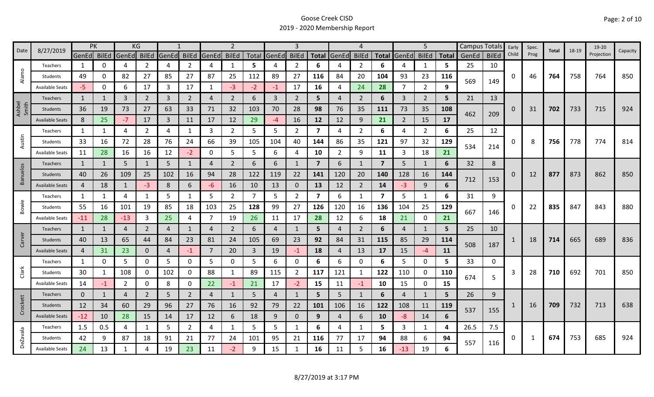| 8/27/2019<br>Date | <b>PK</b>              |                | KG           |                |                |                |                | $\overline{2}$ |                |                | 3              |                |                | 4              |                |                | 5              |                | Campus Totals |       | Early        | Spec.    | Total | 18-19 | 19-20 |            |          |
|-------------------|------------------------|----------------|--------------|----------------|----------------|----------------|----------------|----------------|----------------|----------------|----------------|----------------|----------------|----------------|----------------|----------------|----------------|----------------|---------------|-------|--------------|----------|-------|-------|-------|------------|----------|
|                   |                        | GenEd BilEd    |              | GenEd          | <b>BilEd</b>   | GenEd          | <b>BilEd</b>   | GenEd          | <b>BilEd</b>   |                | Total GenEd    | <b>BilEd</b>   |                | Total GenEd    | <b>BilEd</b>   | <b>Total</b>   | GenEd BilEd    |                | <b>Total</b>  | GenEd | <b>BilEd</b> | Child    | Prog  |       |       | Projection | Capacity |
|                   | Teachers               | 1              | 0            | 4              | 2              | 4              | $\overline{2}$ | 4              | $\mathbf{1}$   | 5              | 4              | 2              | 6              |                | 2              | 6              |                | 1              | 5             | 25    | 10           |          |       |       |       |            |          |
| Alamo             | Students               | 49             | 0            | 82             | 27             | 85             | 27             | 87             | 25             | 112            | 89             | 27             | 116            | 84             | 20             | 104            | 93             | 23             | 116           |       |              | 0        | 46    | 764   | 758   | 764        | 850      |
|                   | <b>Available Seats</b> | -5.            | 0            | 6              | 17             | 3              | 17             | 1              | $-3$           | $-2$           | $-1$           | 17             | 16             | 4              | 24             | 28             | 7              | $\overline{2}$ | 9             | 569   | 149          |          |       |       |       |            |          |
|                   | Teachers               | 1              |              | $\overline{3}$ | $\overline{2}$ | $\overline{3}$ | $\overline{2}$ | 4              | $\overline{2}$ | 6              | $\mathbf{3}$   | $\overline{2}$ | 5              | $\overline{4}$ | $\overline{2}$ | 6              | $\overline{3}$ | $\overline{2}$ | 5             | 21    | 13           |          |       |       |       |            |          |
| Ashbel<br>Smith   | Students               | 36             | 19           | 73             | 27             | 63             | 33             | 71             | 32             | 103            | 70             | 28             | 98             | 76             | 35             | 111            | 73             | 35             | 108           |       |              | $\Omega$ | 31    | 702   | 733   | 715        | 924      |
|                   | <b>Available Seats</b> | 8              | 25           | $-7$           | 17             | $\overline{3}$ | 11             | 17             | 12             | 29             | $-4$           | 16             | 12             | 12             | 9              | 21             | $\overline{2}$ | 15             | 17            | 462   | 209          |          |       |       |       |            |          |
|                   | Teachers               | 1              | 1            | 4              | 2              | 4              | 1              | 3              | $\overline{2}$ | 5              | 5              | $\overline{2}$ | 7              | 4              | $\overline{2}$ | 6              | 4              | $\overline{2}$ | 6             | 25    | 12           |          |       |       |       |            |          |
| Austin            | Students               | 33             | 16           | 72             | 28             | 76             | 24             | 66             | 39             | 105            | 104            | 40             | 144            | 86             | 35             | 121            | 97             | 32             | 129           |       |              | 0        | 8     | 756   | 778   | 774        | 814      |
|                   | <b>Available Seats</b> | 11             | 28           | 16             | 16             | 12             | $-2$           | 0              | 5              | 5              | 6              | 4              | 10             | $\overline{2}$ | 9              | 11             | 3              | 18             | 21            | 534   | 214          |          |       |       |       |            |          |
|                   | <b>Teachers</b>        | 1              | 1            | 5              | $\mathbf{1}$   | 5              | $\mathbf{1}$   | 4              | $\overline{2}$ | 6              | 6              |                | $\overline{7}$ | 6              | -1             | $\overline{7}$ | 5              | 1              | 6             | 32    | 8            |          |       |       |       |            |          |
| Banuelos          | Students               | 40             | 26           | 109            | 25             | 102            | 16             | 94             | 28             | 122            | 119            | 22             | 141            | 120            | 20             | 140            | 128            | 16             | 144           |       |              | $\Omega$ | 12    | 877   | 873   | 862        | 850      |
|                   | <b>Available Seats</b> | 4              | 18           | $\mathbf{1}$   | $-3$           | 8              | 6              | -6             | 16             | 10             | 13             | 0              | 13             | 12             | $\overline{2}$ | 14             | $-3$           | 9              | 6             | 712   | 153          |          |       |       |       |            |          |
|                   | Teachers               | $\mathbf{1}$   | $\mathbf{1}$ | 4              | $\mathbf{1}$   | 5              | $\mathbf{1}$   | 5              | $\overline{2}$ | 7              | 5              | $\overline{2}$ | 7              | 6              | -1             | 7              | 5              | $\mathbf{1}$   | 6             | 31    | 9            |          |       |       |       |            |          |
| Bowie             | Students               | 55             | 16           | 101            | 19             | 85             | 18             | 103            | 25             | 128            | 99             | 27             | 126            | 120            | 16             | 136            | 104            | 25             | 129           |       |              | 0        | 22    | 835   | 847   | 843        | 880      |
|                   | <b>Available Seats</b> | $-11$          | 28           | $-13$          | 3              | 25             | 4              | $\overline{7}$ | 19             | 26             | 11             | 17             | 28             | 12             | 6              | 18             | 21             | $\mathbf 0$    | 21            | 667   | 146          |          |       |       |       |            |          |
|                   | Teachers               | $\mathbf{1}$   | $\mathbf{1}$ | 4              | $\overline{2}$ | $\overline{4}$ | $\mathbf{1}$   | 4              | 2              | 6              | 4              |                | 5              | 4              | 2              | 6              | 4              | $\mathbf{1}$   | 5             | 25    | 10           |          |       |       |       |            |          |
| Carver            | Students               | 40             | 13           | 65             | 44             | 84             | 23             | 81             | 24             | 105            | 69             | 23             | 92             | 84             | 31             | 115            | 85             | 29             | 114           |       |              |          | 18    | 714   | 665   | 689        | 836      |
|                   | <b>Available Seats</b> | $\overline{4}$ | 31           | 23             | 0              | $\overline{4}$ | $-1$           | 7              | 20             | $\overline{3}$ | 19             | $-1$           | 18             | 4              | 13             | 17             | 15             | $-4$           | 11            | 508   | 187          |          |       |       |       |            |          |
|                   | Teachers               | 1              | 0            | 5              | 0              | 5              | 0              | 5              | 0              | 5.             | 6              | 0              | 6              | 6              | 0              | 6              | 5              | $\mathbf 0$    | 5.            | 33    | 0            |          |       |       |       |            |          |
| Clark             | Students               | 30             |              | 108            | 0              | 102            | 0              | 88             | $\mathbf{1}$   | 89             | 115            | $\overline{2}$ | 117            | 121            | $\mathbf{1}$   | 122            | 110            | 0              | 110           | 674   |              | 3        | 28    | 710   | 692   | 701        | 850      |
|                   | <b>Available Seats</b> | 14             | $-1$         | $\overline{2}$ | 0              | 8              | 0              | 22             | $-1$           | 21             | 17             | $-2$           | 15             | 11             | $-1$           | 10             | 15             | $\mathbf 0$    | 15            |       | 5            |          |       |       |       |            |          |
|                   | Teachers               | $\mathbf{0}$   | 1            | $\overline{4}$ | $\overline{2}$ | 5              | $\overline{2}$ | 4              | $\mathbf{1}$   | 5              | $\overline{4}$ |                | 5              | 5 <sup>1</sup> | $\mathbf{1}$   | 6              | 4              | 1              | 5             | 26    | 9            |          |       |       |       |            |          |
| Crockett          | Students               | 12             | 34           | 60             | 29             | 96             | 27             | 76             | 16             | 92             | 79             | 22             | 101            | 106            | 16             | 122            | 108            | 11             | 119           | 537   |              |          | 16    | 709   | 732   | 713        | 638      |
|                   | <b>Available Seats</b> | $-12$          | 10           | 28             | 15             | 14             | 17             | 12             | 6              | 18             | 9              | $\mathbf{0}$   | 9              | 4              | 6              | 10             | -8             | 14             | 6             |       | 155          |          |       |       |       |            |          |
|                   | Teachers               | 1.5            | 0.5          | 4              | 1              | 5              | $\overline{2}$ | 4              | 1              | 5              | 5              | 1              | 6              | 4              | -1             | 5.             | 3              | 1              | 4             | 26.5  | 7.5          |          |       |       |       |            |          |
| <b>DeZavala</b>   | Students               | 42             | 9            | 87             | 18             | 91             | 21             | 77             | 24             | 101            | 95             | 21             | 116            | 77             | 17             | 94             | 88             | 6              | 94            | 557   |              | 0        | 1     | 674   | 753   | 685        | 924      |
|                   | <b>Available Seats</b> | 24             | 13           | $\mathbf{1}$   |                | 19             | 23             | 11             | $-2$           | q              | 15             |                | 16             | 11             | 5              | 16             | $-13$          | 19             | 6             |       | 116          |          |       |       |       |            |          |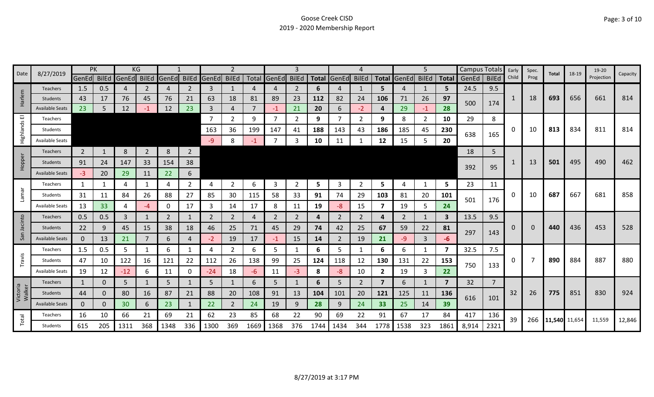| 8/27/2019<br>Date  |                        |                | PK           |                         | ΚG             |                |                |             |                |      |                |              |      |             |                |                |                   | 5            |              | Campus Totals |                | Early | Spec. | Total             | 18-19 | 19-20      | Capacity |
|--------------------|------------------------|----------------|--------------|-------------------------|----------------|----------------|----------------|-------------|----------------|------|----------------|--------------|------|-------------|----------------|----------------|-------------------|--------------|--------------|---------------|----------------|-------|-------|-------------------|-------|------------|----------|
|                    |                        |                |              | GenEd BilEd GenEd BilEd |                | GenEd          |                | BilEd GenEd | <b>BilEd</b>   |      | Total GenEd    | <b>BilEd</b> |      | Total GenEd | <b>BilEd</b>   |                | Total GenEd BilEd |              | <b>Total</b> | GenEd         | <b>BilEd</b>   | Child | Prog  |                   |       | Projection |          |
|                    | Teachers               | 1.5            | 0.5          |                         | 2              | 4              | 2              | 3           | 1              |      | 4              | 2            | 6    |             | 1              | 5.             | 4                 | 1            | 5            | 24.5          | 9.5            |       |       |                   |       |            |          |
| arlem              | <b>Students</b>        | 43             | 17           | 76                      | 45             | 76             | 21             | 63          | 18             | 81   | 89             | 23           | 112  | 82          | 24             | 106            | 71                | 26           | 97           | 500           | 174            | 1     | 18    | 693               | 656   | 661        | 814      |
| I                  | <b>Available Seats</b> | 23             | 5            | 12                      | -1             | 12             | 23             | 3           | $\overline{4}$ |      | $-1$           | 21           | 20   | 6           | $-2$           | 4              | 29                | $-1$         | 28           |               |                |       |       |                   |       |            |          |
| ш                  | Teachers               |                |              |                         |                |                |                | 7           | $\overline{2}$ | 9    | $\overline{7}$ | 2            | 9    |             | 2              | 9              | 8                 | 2            | 10           | 29            | 8              |       |       |                   |       |            |          |
| Highlands          | Students               |                |              |                         |                |                |                | 163         | 36             | 199  | 147            | 41           | 188  | 143         | 43             | 186            | 185               | 45           | 230          | 638           | 165            | 0     | 10    | 813               | 834   | 811        | 814      |
|                    | <b>Available Seats</b> |                |              |                         |                |                |                | -9          | 8              | -1   | 7              | 3            | 10   | 11          |                | 12             | 15                | 5            | 20           |               |                |       |       |                   |       |            |          |
|                    | Teachers               | $\overline{2}$ |              | 8                       | $\overline{2}$ | 8              | $\overline{2}$ |             |                |      |                |              |      |             |                |                |                   |              |              | 18            | 5              |       |       |                   |       |            |          |
| Hopper             | <b>Students</b>        | 91             | 24           | 147                     | 33             | 154            | 38             |             |                |      |                |              |      |             |                |                |                   |              |              | 392           | 95             |       | 13    | 501               | 495   | 490        | 462      |
|                    | <b>Available Seats</b> | $-3$           | 20           | 29                      | 11             | 22             | 6              |             |                |      |                |              |      |             |                |                |                   |              |              |               |                |       |       |                   |       |            |          |
|                    | <b>Teachers</b>        | 1              |              | 4                       | 1              | 4              | $\overline{2}$ | 4           | 2              | 6    | 3              | 2            | 5    | 3           | 2              | 5              | 4                 | 1            | 5            | 23            | 11             |       |       |                   |       |            |          |
| Lamar              | Students               | 31             | 11           | 84                      | 26             | 88             | 27             | 85          | 30             | 115  | 58             | 33           | 91   | 74          | 29             | 103            | 81                | 20           | 101          |               |                | 0     | 10    | 687               | 667   | 681        | 858      |
|                    | Available Seats        | 13             | 33           | 4                       | -4             | 0              | 17             | 3           | 14             | 17   | 8              | 11           | 19   | -8          | 15             | 7              | 19                | 5            | 24           | 501           | 176            |       |       |                   |       |            |          |
|                    | Teachers               | 0.5            | 0.5          | 3                       | 1              | $\overline{2}$ | 1              | 2           | $\overline{2}$ | 4    | 2              | 2            | 4    | 2           | 2              | 4              | 2                 | 1            | 3            | 13.5          | 9.5            |       |       |                   |       |            |          |
| Jacinto            | Students               | 22             | 9            | 45                      | 15             | 38             | 18             | 46          | 25             | 71   | 45             | 29           | 74   | 42          | 25             | 67             | 59                | 22           | 81           |               |                | 0     | 0     | 440               | 436   | 453        | 528      |
| San                | <b>Available Seats</b> | $\mathbf{0}$   | 13           | 21                      | 7              | 6              | 4              | -2          | 19             | 17   | $-1$           | 15           | 14   | 2           | 19             | 21             | $-9$              | 3            | -6           | 297           | 143            |       |       |                   |       |            |          |
|                    | Teachers               | 1.5            | 0.5          | 5                       |                | 6              | $\mathbf{1}$   | Δ           | $\overline{2}$ | 6    | 5              | -1           | 6    | 5.          | 1              | 6              | 6                 | $\mathbf{1}$ | 7            | 32.5          | 7.5            |       |       |                   |       |            |          |
| Travis             | Students               | 47             | 10           | 122                     | 16             | 121            | 22             | 112         | 26             | 138  | 99             | 25           | 124  | 118         | 12             | 130            | 131               | 22           | 153          | 750           | 133            | 0     |       | 890               | 884   | 887        | 880      |
|                    | Available Seats        | 19             | 12           | $-12$                   | 6              | 11             | 0              | $-24$       | 18             | -6   | 11             | $-3$         | 8    | $-8$        | 10             | $\overline{2}$ | 19                | 3            | 22           |               |                |       |       |                   |       |            |          |
|                    | Teachers               | $\mathbf{1}$   | 0            | 5                       |                | 5              | 1              | 5           | 1              | 6    | 5              |              | 6    | 5.          | $\overline{2}$ | $\overline{7}$ | 6                 | $\mathbf{1}$ | 7            | 32            | $\overline{7}$ |       |       |                   |       |            |          |
| Victoria<br>Walker | <b>Students</b>        | 44             | $\mathbf{0}$ | 80                      | 16             | 87             | 21             | 88          | 20             | 108  | 91             | 13           | 104  | 101         | 20             | 121            | 125               | 11           | 136          | 616           | 101            | 32    | 26    | 775               | 851   | 830        | 924      |
|                    | <b>Available Seats</b> | $\mathbf{0}$   | $\Omega$     | 30                      | 6              | 23             | $\mathbf{1}$   | 22          | $\overline{2}$ | 24   | 19             | 9            | 28   | 9           | 24             | 33             | 25                | 14           | 39           |               |                |       |       |                   |       |            |          |
|                    | Teachers               | 16             | 10           | 66                      | 21             | 69             | 21             | 62          | 23             | 85   | 68             | 22           | 90   | 69          | 22             | 91             | 67                | 17           | 84           | 417           | 136            | 39    |       | 266 11,540 11,654 |       | 11,559     | 12,846   |
| Total              | Students               | 615            | 205          | 1311                    | 368            | 1348           | 336            | 1300        | 369            | 1669 | 1368           | 376          | 1744 | 1434        | 344            | 1778           | 1538              | 323          | 1861         | 8,914         | 2321           |       |       |                   |       |            |          |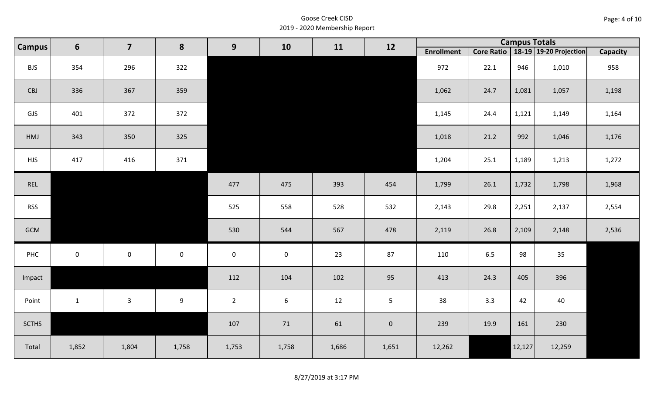| Page: 4 of 10 |  |
|---------------|--|
|---------------|--|

| $6\phantom{1}$<br><b>Campus</b> |                | $\overline{\mathbf{z}}$ | 8           | 9                   | 10          | 11    | 12                  |                   |         | <b>Campus Totals</b> |                                       |                 |
|---------------------------------|----------------|-------------------------|-------------|---------------------|-------------|-------|---------------------|-------------------|---------|----------------------|---------------------------------------|-----------------|
|                                 |                |                         |             |                     |             |       |                     | <b>Enrollment</b> |         |                      | Core Ratio   18-19   19-20 Projection | <b>Capacity</b> |
| <b>BJS</b>                      | 354            | 296                     | 322         |                     |             |       |                     | 972               | 22.1    | 946                  | 1,010                                 | 958             |
| CBJ                             | 336            | 367                     | 359         |                     |             |       |                     | 1,062             | 24.7    | 1,081                | 1,057                                 | 1,198           |
| GJS                             | 401            | 372                     | 372         |                     |             |       |                     | 1,145             | 24.4    | 1,121                | 1,149                                 | 1,164           |
| HMJ                             | 343            | 350                     | 325         |                     |             |       |                     | 1,018             | 21.2    | 992                  | 1,046                                 | 1,176           |
| <b>HJS</b>                      | 417            | 416                     | 371         |                     |             |       |                     | 1,204             | 25.1    | 1,189                | 1,213                                 | 1,272           |
| REL                             |                |                         |             | 477                 | 475         | 393   | 454                 | 1,799             | 26.1    | 1,732                | 1,798                                 | 1,968           |
| <b>RSS</b>                      |                |                         |             | 525                 | 558         | 528   | 532                 | 2,143             | 29.8    | 2,251                | 2,137                                 | 2,554           |
| GCM                             |                |                         |             | 530                 | 544         | 567   | 478                 | 2,119             | 26.8    | 2,109                | 2,148                                 | 2,536           |
| PHC                             | $\overline{0}$ | $\mathsf{O}\xspace$     | $\mathbf 0$ | $\mathsf{O}\xspace$ | $\mathbf 0$ | 23    | 87                  | 110               | $6.5\,$ | 98                   | 35                                    |                 |
| Impact                          |                |                         |             | 112                 | 104         | 102   | 95                  | 413               | 24.3    | 405                  | 396                                   |                 |
| Point                           | $\mathbf{1}$   | $\mathbf{3}$            | 9           | $2^{\circ}$         | 6           | 12    | 5 <sub>1</sub>      | 38                | 3.3     | 42                   | 40                                    |                 |
| <b>SCTHS</b>                    |                |                         |             | 107                 | 71          | 61    | $\mathsf{O}\xspace$ | 239               | 19.9    | 161                  | 230                                   |                 |
| Total                           | 1,852          | 1,804                   | 1,758       | 1,753               | 1,758       | 1,686 | 1,651               | 12,262            |         | 12,127               | 12,259                                |                 |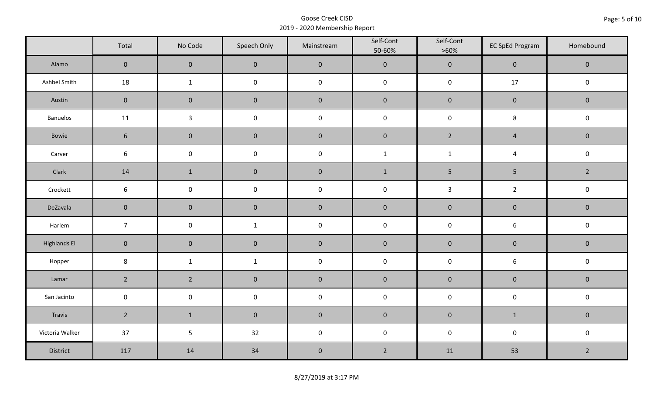|                     | Total           | No Code             | Speech Only         | Mainstream | Self-Cont<br>50-60% | Self-Cont<br>$>60\%$ | <b>EC SpEd Program</b> | Homebound      |  |
|---------------------|-----------------|---------------------|---------------------|------------|---------------------|----------------------|------------------------|----------------|--|
| Alamo               | $\overline{0}$  | $\mathbf 0$         | $\mathbf 0$         | $\pmb{0}$  | $\pmb{0}$           | $\pmb{0}$            | $\mathsf{O}\xspace$    | $\mathbf 0$    |  |
| Ashbel Smith        | 18              | $\mathbf{1}$        | $\mathsf 0$         | $\pmb{0}$  | $\pmb{0}$           | $\pmb{0}$            | $17$                   | $\mathbf 0$    |  |
| Austin              | $\mathbf 0$     | $\mathbf 0$         | $\mathbf 0$         | $\pmb{0}$  | $\pmb{0}$           | $\pmb{0}$            | $\pmb{0}$              | $\mathbf 0$    |  |
| Banuelos            | 11              | $\mathbf{3}$        | $\pmb{0}$           | $\pmb{0}$  | $\mathsf 0$         | $\pmb{0}$            | 8                      | $\pmb{0}$      |  |
| Bowie               | $6\phantom{1}$  | $\mathbf 0$         | $\mathbf 0$         | $\pmb{0}$  | $\pmb{0}$           | $2^{\circ}$          | $\overline{4}$         | $\mathbf 0$    |  |
| Carver              | 6               | $\mathsf{O}\xspace$ | $\pmb{0}$           | $\pmb{0}$  | $\mathbf 1$         | $\mathbf 1$          | $\overline{4}$         | $\pmb{0}$      |  |
| Clark               | 14              | $\mathbf{1}$        | $\pmb{0}$           | $\pmb{0}$  | $\mathbf{1}$        | 5                    | $\sqrt{5}$             | $\overline{2}$ |  |
| Crockett            | $6\phantom{.}6$ | $\mathsf 0$         | $\pmb{0}$           | $\pmb{0}$  | $\pmb{0}$           | $\mathbf{3}$         | $\overline{2}$         | $\pmb{0}$      |  |
| DeZavala            | $\mathbf 0$     | $\mathsf{O}\xspace$ | $\mathbf 0$         | $\pmb{0}$  | $\pmb{0}$           | $\pmb{0}$            | $\pmb{0}$              | $\mathbf 0$    |  |
| Harlem              | $\overline{7}$  | $\mathsf 0$         | $\mathbf{1}$        | $\pmb{0}$  | $\pmb{0}$           | $\pmb{0}$            | $\boldsymbol{6}$       | $\pmb{0}$      |  |
| <b>Highlands El</b> | $\mathbf 0$     | $\mathbf 0$         | $\mathbf 0$         | $\pmb{0}$  | $\pmb{0}$           | $\pmb{0}$            | $\pmb{0}$              | $\mathbf 0$    |  |
| Hopper              | $\bf 8$         | $\mathbf{1}$        | $\mathbf{1}$        | $\pmb{0}$  | $\pmb{0}$           | $\pmb{0}$            | $\boldsymbol{6}$       | $\pmb{0}$      |  |
| Lamar               | $\overline{2}$  | $2^{\circ}$         | $\pmb{0}$           | $\pmb{0}$  | $\pmb{0}$           | $\pmb{0}$            | $\pmb{0}$              | $\pmb{0}$      |  |
| San Jacinto         | $\mathbf 0$     | $\mathbf 0$         | $\mathsf{O}\xspace$ | $\pmb{0}$  | $\pmb{0}$           | $\pmb{0}$            | $\pmb{0}$              | $\pmb{0}$      |  |
| Travis              | $2^{\circ}$     | $\mathbf{1}$        | $\mathbf 0$         | $\pmb{0}$  | $\pmb{0}$           | $\pmb{0}$            | $\mathbf{1}$           | $\mathbf 0$    |  |
| Victoria Walker     | 37              | 5                   | 32                  | $\pmb{0}$  | $\pmb{0}$           | $\pmb{0}$            | $\pmb{0}$              | $\pmb{0}$      |  |
| District            | 117             | 14                  | 34                  | $\pmb{0}$  | $\overline{2}$      | 11                   | 53                     | $\overline{2}$ |  |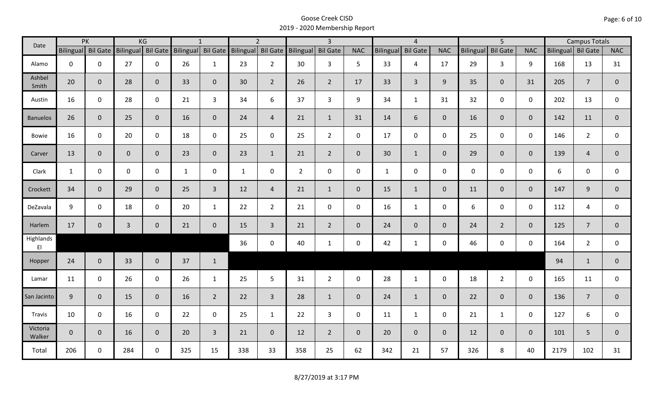| Date               |                    | PK           |                | KG             |                                                                    | $\mathbf{1}$   |              | $\overline{2}$ |                | $\overline{\mathbf{3}}$ |                |                  | $\overline{4}$  |                |                  | $\overline{5}$  |                |                    | <b>Campus Totals</b> |              |
|--------------------|--------------------|--------------|----------------|----------------|--------------------------------------------------------------------|----------------|--------------|----------------|----------------|-------------------------|----------------|------------------|-----------------|----------------|------------------|-----------------|----------------|--------------------|----------------------|--------------|
|                    | Bilingual Bil Gate |              |                |                | Bilingual Bil Gate Bilingual Bil Gate Bilingual Bil Gate Bilingual |                |              |                |                | <b>Bil Gate</b>         | <b>NAC</b>     | <b>Bilingual</b> | <b>Bil Gate</b> | <b>NAC</b>     | <b>Bilingual</b> | <b>Bil Gate</b> | <b>NAC</b>     | Bilingual Bil Gate |                      | <b>NAC</b>   |
| Alamo              | $\mathbf 0$        | $\mathbf 0$  | 27             | $\mathbf 0$    | 26                                                                 | $\mathbf{1}$   | 23           | $2^{\circ}$    | 30             | $\mathbf{3}$            | 5              | 33               | $\overline{4}$  | 17             | 29               | $\overline{3}$  | 9              | 168                | 13                   | 31           |
| Ashbel<br>Smith    | 20                 | $\mathbf 0$  | 28             | $\mathbf{0}$   | 33                                                                 | $\mathbf 0$    | 30           | $\overline{2}$ | 26             | $2^{\circ}$             | 17             | 33               | $\overline{3}$  | 9 <sup>°</sup> | 35               | $\overline{0}$  | 31             | 205                | $\overline{7}$       | $\mathbf 0$  |
| Austin             | 16                 | $\mathbf 0$  | 28             | $\mathbf 0$    | 21                                                                 | $\overline{3}$ | 34           | 6              | 37             | $\overline{3}$          | 9              | 34               | $\mathbf{1}$    | 31             | 32               | $\mathbf 0$     | $\mathbf 0$    | 202                | 13                   | $\mathsf{O}$ |
| <b>Banuelos</b>    | 26                 | $\mathbf{0}$ | 25             | $\overline{0}$ | 16                                                                 | $\mathbf{0}$   | 24           | $\overline{4}$ | 21             | $\mathbf{1}$            | 31             | 14               | 6               | $\mathbf{0}$   | 16               | $\overline{0}$  | $\overline{0}$ | 142                | 11                   | $\mathbf{0}$ |
| <b>Bowie</b>       | 16                 | $\mathbf 0$  | 20             | $\mathbf 0$    | 18                                                                 | $\mathbf 0$    | 25           | $\mathbf 0$    | 25             | $2^{\circ}$             | $\mathsf{O}$   | 17               | $\mathbf 0$     | $\mathsf{O}$   | 25               | $\mathbf 0$     | $\mathbf 0$    | 146                | $\overline{2}$       | $\mathbf 0$  |
| Carver             | 13                 | $\mathbf{0}$ | $\mathbf{0}$   | $\mathbf 0$    | 23                                                                 | $\mathbf{0}$   | 23           | $\mathbf{1}$   | 21             | $2^{\circ}$             | $\overline{0}$ | 30               | $\mathbf{1}$    | $\overline{0}$ | 29               | $\overline{0}$  | $\overline{0}$ | 139                | $\overline{4}$       | $\mathbf{0}$ |
| Clark              | $\mathbf{1}$       | $\mathbf 0$  | $\mathbf 0$    | $\mathbf 0$    | $\mathbf{1}$                                                       | $\mathbf 0$    | $\mathbf{1}$ | $\mathbf 0$    | $\overline{2}$ | $\mathsf{O}$            | $\mathbf 0$    | $\mathbf{1}$     | $\mathbf 0$     | $\mathsf{O}$   | $\mathbf 0$      | $\mathbf 0$     | $\mathbf 0$    | 6                  | $\mathbf 0$          | $\mathbf 0$  |
| Crockett           | 34                 | $\mathbf{0}$ | 29             | $\mathbf{0}$   | 25                                                                 | $\overline{3}$ | 12           | $\overline{4}$ | 21             | $\mathbf{1}$            | $\mathbf 0$    | 15               | $\mathbf{1}$    | $\overline{0}$ | 11               | $\mathbf{0}$    | $\overline{0}$ | 147                | 9                    | $\mathbf{0}$ |
| DeZavala           | 9                  | $\mathbf 0$  | 18             | $\mathbf 0$    | 20                                                                 | $\mathbf{1}$   | 22           | $2^{\circ}$    | 21             | $\mathsf{O}$            | $\mathbf 0$    | 16               | $\mathbf{1}$    | $\mathbf 0$    | 6                | $\mathbf 0$     | $\mathbf 0$    | 112                | $\overline{4}$       | $\mathbf 0$  |
| Harlem             | 17                 | $\mathbf 0$  | $\overline{3}$ | $\mathbf 0$    | 21                                                                 | $\mathbf 0$    | 15           | $\overline{3}$ | 21             | $2^{\circ}$             | $\mathbf{0}$   | 24               | $\overline{0}$  | $\overline{0}$ | 24               | $2^{\circ}$     | $\overline{0}$ | 125                | $\overline{7}$       | $\mathbf 0$  |
| Highlands<br>EI    |                    |              |                |                |                                                                    |                | 36           | $\mathbf 0$    | 40             | $\mathbf{1}$            | $\mathbf 0$    | 42               | $\mathbf{1}$    | $\mathsf{O}$   | 46               | $\mathbf 0$     | $\mathbf 0$    | 164                | $\overline{2}$       | $\mathbf{0}$ |
| Hopper             | 24                 | $\mathbf 0$  | 33             | $\mathbf{0}$   | 37                                                                 | $\mathbf{1}$   |              |                |                |                         |                |                  |                 |                |                  |                 |                | 94                 | $\mathbf{1}$         | $\mathbf 0$  |
| Lamar              | 11                 | $\mathbf 0$  | 26             | $\mathbf 0$    | 26                                                                 | $\mathbf{1}$   | 25           | 5 <sup>5</sup> | 31             | $2^{\circ}$             | $\mathsf{O}$   | 28               | $\mathbf{1}$    | $\mathbf 0$    | 18               | $2^{\circ}$     | $\mathbf 0$    | 165                | 11                   | $\mathbf 0$  |
| San Jacinto        | 9                  | $\mathbf 0$  | 15             | $\overline{0}$ | 16                                                                 | $\overline{2}$ | 22           | $\overline{3}$ | 28             | $\mathbf{1}$            | $\overline{0}$ | 24               | $\mathbf{1}$    | $\overline{0}$ | 22               | $\mathbf{0}$    | $\overline{0}$ | 136                | $\overline{7}$       | $\mathbf 0$  |
| Travis             | 10                 | $\mathbf 0$  | 16             | $\mathbf 0$    | 22                                                                 | $\mathbf 0$    | 25           | $\mathbf{1}$   | 22             | $\mathbf{3}$            | $\mathsf{O}$   | 11               | $\mathbf{1}$    | $\mathbf{0}$   | 21               | $\mathbf{1}$    | $\mathbf 0$    | 127                | 6                    | $\mathbf 0$  |
| Victoria<br>Walker | $\overline{0}$     | $\mathbf 0$  | 16             | $\overline{0}$ | 20                                                                 | $\overline{3}$ | 21           | $\overline{0}$ | 12             | $2^{\circ}$             | $\mathbf{0}$   | 20               | $\overline{0}$  | $\mathbf{0}$   | 12               | $\mathbf{0}$    | $\overline{0}$ | 101                | 5                    | $\mathbf{0}$ |
| Total              | 206                | $\mathbf 0$  | 284            | $\mathbf 0$    | 325                                                                | 15             | 338          | 33             | 358            | 25                      | 62             | 342              | 21              | 57             | 326              | 8               | 40             | 2179               | 102                  | 31           |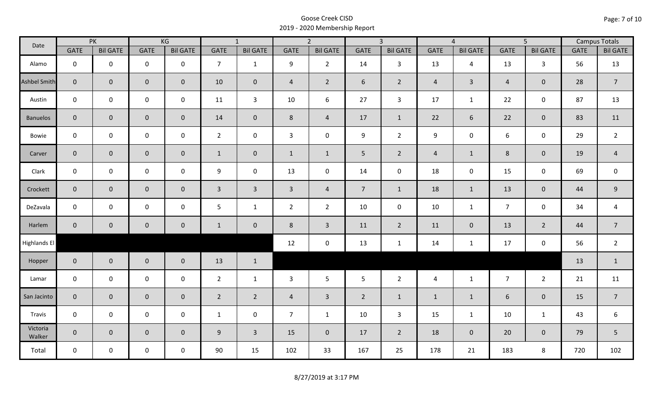| Date               |                | PK              |                     | KG              |                | $\overline{1}$  |                | $\overline{2}$  |                | $\overline{3}$  |                | $\overline{4}$  |                | $\overline{5}$  |             | <b>Campus Totals</b> |
|--------------------|----------------|-----------------|---------------------|-----------------|----------------|-----------------|----------------|-----------------|----------------|-----------------|----------------|-----------------|----------------|-----------------|-------------|----------------------|
|                    | <b>GATE</b>    | <b>Bil GATE</b> | <b>GATE</b>         | <b>Bil GATE</b> | <b>GATE</b>    | <b>Bil GATE</b> | <b>GATE</b>    | <b>Bil GATE</b> | <b>GATE</b>    | <b>Bil GATE</b> | <b>GATE</b>    | <b>Bil GATE</b> | <b>GATE</b>    | <b>Bil GATE</b> | <b>GATE</b> | <b>Bil GATE</b>      |
| Alamo              | $\mathbf{0}$   | $\mathbf 0$     | $\mathbf 0$         | $\mathbf 0$     | $\overline{7}$ | $\mathbf{1}$    | 9              | $\overline{2}$  | 14             | $\mathbf{3}$    | 13             | $\overline{4}$  | 13             | $\mathbf{3}$    | 56          | 13                   |
| Ashbel Smith       | $\mathbf{0}$   | $\overline{0}$  | $\mathbf 0$         | $\overline{0}$  | 10             | $\overline{0}$  | $\overline{4}$ | $\overline{2}$  | 6              | $2^{\circ}$     | $\overline{4}$ | $\mathbf{3}$    | $\overline{4}$ | $\mathbf{0}$    | 28          | $\overline{7}$       |
| Austin             | $\mathbf 0$    | $\mathbf 0$     | $\mathbf 0$         | $\mathbf 0$     | 11             | $\mathbf{3}$    | 10             | 6               | 27             | $\mathbf{3}$    | 17             | $\mathbf{1}$    | 22             | $\mathbf 0$     | 87          | 13                   |
| <b>Banuelos</b>    | $\overline{0}$ | $\mathbf{0}$    | $\mathbf 0$         | $\overline{0}$  | 14             | $\mathbf{0}$    | 8              | $\overline{4}$  | 17             | $\mathbf{1}$    | 22             | 6               | 22             | $\overline{0}$  | 83          | 11                   |
| Bowie              | $\mathbf 0$    | $\mathbf 0$     | $\mathsf{O}$        | $\mathbf 0$     | $2^{\circ}$    | $\mathbf 0$     | $\mathbf{3}$   | $\mathbf 0$     | 9              | $2^{\circ}$     | 9              | 0               | 6              | $\mathbf 0$     | 29          | $\overline{2}$       |
| Carver             | $\overline{0}$ | $\mathbf 0$     | $\mathbf 0$         | $\mathbf{0}$    | $\mathbf{1}$   | $\mathbf 0$     | $\mathbf{1}$   | $\mathbf{1}$    | 5 <sub>1</sub> | $\overline{2}$  | $\overline{4}$ | $\mathbf{1}$    | $8\phantom{1}$ | $\mathbf{0}$    | 19          | $\overline{4}$       |
| Clark              | $\mathbf 0$    | $\mathbf 0$     | $\pmb{0}$           | $\mathbf 0$     | 9              | $\mathbf 0$     | 13             | $\mathbf 0$     | 14             | $\mathbf 0$     | 18             | $\mathbf 0$     | 15             | $\mathbf 0$     | 69          | $\mathbf 0$          |
| Crockett           | $\overline{0}$ | $\mathbf 0$     | $\mathbf 0$         | $\overline{0}$  | $\mathbf{3}$   | $\overline{3}$  | $\overline{3}$ | $\overline{4}$  | 7 <sup>1</sup> | $\mathbf{1}$    | 18             | $\mathbf{1}$    | 13             | $\mathbf 0$     | 44          | $9\,$                |
| DeZavala           | $\mathbf 0$    | $\mathbf 0$     | $\mathbf 0$         | $\mathbf 0$     | 5              | $\mathbf{1}$    | $\overline{2}$ | $\overline{2}$  | 10             | $\mathbf 0$     | 10             | $\mathbf{1}$    | $\overline{7}$ | $\mathbf 0$     | 34          | $\overline{a}$       |
| Harlem             | $\overline{0}$ | $\overline{0}$  | $\mathbf 0$         | $\mathbf{0}$    | $\mathbf{1}$   | $\mathbf 0$     | 8              | $\overline{3}$  | 11             | $\overline{2}$  | 11             | $\mathbf{0}$    | 13             | $\overline{2}$  | 44          | $\overline{7}$       |
| Highlands El       |                |                 |                     |                 |                |                 | 12             | $\mathbf 0$     | 13             | $\mathbf{1}$    | 14             | $\mathbf{1}$    | 17             | $\mathbf 0$     | 56          | $\overline{2}$       |
| Hopper             | $\overline{0}$ | $\overline{0}$  | $\mathbf 0$         | $\overline{0}$  | 13             | $\mathbf{1}$    |                |                 |                |                 |                |                 |                |                 | 13          | $\mathbf{1}$         |
| Lamar              | $\mathbf 0$    | $\mathbf 0$     | $\mathbf 0$         | $\mathbf 0$     | $2^{\circ}$    | $\mathbf{1}$    | 3              | 5               | 5              | $\overline{2}$  | $\overline{4}$ | $\mathbf{1}$    | $\overline{7}$ | $2^{\circ}$     | 21          | 11                   |
| San Jacinto        | $\mathbf 0$    | $\overline{0}$  | $\mathbf 0$         | $\mathbf 0$     | $\overline{2}$ | $\overline{2}$  | $\overline{a}$ | $\overline{3}$  | $\overline{2}$ | $\mathbf{1}$    | $\mathbf{1}$   | $\mathbf{1}$    | 6              | $\mathbf 0$     | 15          | $\overline{7}$       |
| Travis             | $\mathbf 0$    | $\mathbf 0$     | $\mathsf{O}\xspace$ | $\mathbf 0$     | $\mathbf{1}$   | $\mathbf 0$     | $\overline{7}$ | $\mathbf{1}$    | 10             | $\mathbf{3}$    | 15             | $\mathbf{1}$    | 10             | $\mathbf{1}$    | 43          | 6                    |
| Victoria<br>Walker | $\overline{0}$ | $\mathbf 0$     | $\mathbf 0$         | $\overline{0}$  | 9              | $\overline{3}$  | 15             | $\mathbf{0}$    | 17             | $\overline{2}$  | 18             | $\mathbf 0$     | 20             | $\overline{0}$  | 79          | 5                    |
| Total              | $\mathbf 0$    | $\mathbf 0$     | $\mathbf 0$         | $\mathbf 0$     | 90             | 15              | 102            | 33              | 167            | 25              | 178            | 21              | 183            | 8               | 720         | 102                  |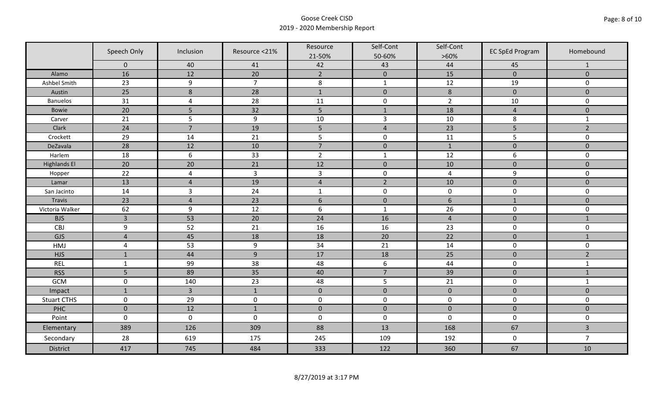|                     | Speech Only    | Inclusion        | Resource <21%  | Resource<br>21-50% | Self-Cont<br>50-60% | Self-Cont<br>$>60\%$ | <b>EC SpEd Program</b> | Homebound               |
|---------------------|----------------|------------------|----------------|--------------------|---------------------|----------------------|------------------------|-------------------------|
|                     | $\mathbf 0$    | 40               | 41             | 42                 | 43                  | 44                   | 45                     | $\mathbf{1}$            |
| Alamo               | 16             | 12               | 20             | $\overline{2}$     | $\mathbf 0$         | 15                   | $\mathbf{0}$           | $\mathbf{0}$            |
| Ashbel Smith        | 23             | 9                | $\overline{7}$ | $\bf 8$            | $\mathbf 1$         | 12                   | 19                     | 0                       |
| Austin              | 25             | $\boldsymbol{8}$ | 28             | $\mathbf{1}$       | $\mathbf 0$         | $\,8\,$              | $\mathbf 0$            | $\overline{0}$          |
| <b>Banuelos</b>     | 31             | $\overline{a}$   | 28             | 11                 | $\pmb{0}$           | $\overline{2}$       | 10                     | $\mathbf 0$             |
| Bowie               | 20             | 5                | 32             | 5                  | $\mathbf{1}$        | 18                   | $\overline{4}$         | $\mathbf 0$             |
| Carver              | 21             | 5                | 9              | $10\,$             | $\mathsf{3}$        | 10                   | 8                      | $\mathbf{1}$            |
| Clark               | 24             | $\overline{7}$   | 19             | 5                  | $\overline{4}$      | 23                   | 5                      | $\overline{2}$          |
| Crockett            | 29             | 14               | 21             | 5                  | $\pmb{0}$           | 11                   | 5                      | 0                       |
| DeZavala            | 28             | 12               | 10             | $\overline{7}$     | $\pmb{0}$           | $1\,$                | $\pmb{0}$              | $\mathbf 0$             |
| Harlem              | 18             | $\sqrt{6}$       | 33             | $\overline{2}$     | $\mathbf{1}$        | 12                   | 6                      | 0                       |
| <b>Highlands El</b> | 20             | 20               | 21             | 12                 | $\pmb{0}$           | 10                   | $\pmb{0}$              | $\mathbf 0$             |
| Hopper              | 22             | $\overline{a}$   | $\overline{3}$ | $\mathsf{3}$       | $\pmb{0}$           | $\overline{a}$       | 9                      | 0                       |
| Lamar               | 13             | $\overline{4}$   | 19             | $\overline{4}$     | $\overline{2}$      | 10                   | $\mathbf 0$            | $\overline{0}$          |
| San Jacinto         | 14             | $\overline{3}$   | 24             | $\mathbf{1}$       | $\pmb{0}$           | $\pmb{0}$            | $\pmb{0}$              | 0                       |
| Travis              | 23             | $\overline{4}$   | 23             | $6\,$              | $\pmb{0}$           | $\boldsymbol{6}$     | $\mathbf{1}$           | $\mathbf 0$             |
| Victoria Walker     | 62             | 9                | 12             | $\boldsymbol{6}$   | $\mathbf{1}$        | 26                   | $\pmb{0}$              | 0                       |
| <b>BJS</b>          | $\overline{3}$ | 53               | 20             | 24                 | 16                  | $\overline{4}$       | $\pmb{0}$              | $\mathbf{1}$            |
| CBJ                 | 9              | 52               | 21             | 16                 | 16                  | 23                   | $\pmb{0}$              | 0                       |
| GJS                 | $\overline{4}$ | 45               | 18             | 18                 | 20                  | 22                   | $\pmb{0}$              | $\mathbf{1}$            |
| HMJ                 | $\overline{4}$ | 53               | 9              | 34                 | 21                  | 14                   | $\mathbf 0$            | 0                       |
| <b>HJS</b>          | $\mathbf{1}$   | 44               | 9              | 17                 | 18                  | 25                   | $\mathbf 0$            | $\overline{2}$          |
| <b>REL</b>          | $\mathbf{1}$   | 99               | 38             | 48                 | $\boldsymbol{6}$    | 44                   | $\pmb{0}$              | $\mathbf{1}$            |
| <b>RSS</b>          | 5              | 89               | 35             | 40                 | $\overline{7}$      | 39                   | $\mathbf 0$            | $\mathbf 1$             |
| <b>GCM</b>          | $\mathsf 0$    | 140              | 23             | 48                 | 5                   | 21                   | $\pmb{0}$              | $\mathbf{1}$            |
| Impact              | $\mathbf{1}$   | $\overline{3}$   | $\mathbf{1}$   | $\mathbf 0$        | $\pmb{0}$           | $\pmb{0}$            | $\pmb{0}$              | $\mathbf 0$             |
| <b>Stuart CTHS</b>  | $\mathsf 0$    | 29               | $\pmb{0}$      | $\pmb{0}$          | $\pmb{0}$           | $\pmb{0}$            | $\pmb{0}$              | 0                       |
| PHC                 | $\mathbf 0$    | 12               | $\mathbf{1}$   | $\mathbf 0$        | $\mathbf 0$         | $\mathbf 0$          | $\mathbf 0$            | $\mathbf 0$             |
| Point               | $\mathbf 0$    | $\pmb{0}$        | $\pmb{0}$      | $\pmb{0}$          | $\pmb{0}$           | $\mathbf 0$          | $\pmb{0}$              | 0                       |
| Elementary          | 389            | 126              | 309            | 88                 | 13                  | 168                  | 67                     | $\overline{\mathbf{3}}$ |
| Secondary           | 28             | 619              | 175            | 245                | 109                 | 192                  | $\pmb{0}$              | $\overline{7}$          |
| <b>District</b>     | 417            | 745              | 484            | 333                | 122                 | 360                  | 67                     | 10                      |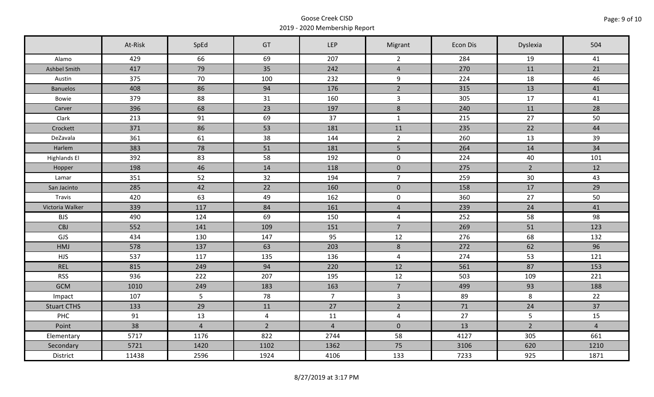|                     | At-Risk | SpEd           | GT             | LEP            | Migrant        | Econ Dis | Dyslexia       | 504            |
|---------------------|---------|----------------|----------------|----------------|----------------|----------|----------------|----------------|
| Alamo               | 429     | 66             | 69             | 207            | $\overline{2}$ | 284      | 19             | 41             |
| <b>Ashbel Smith</b> | 417     | 79             | 35             | 242            | $\overline{4}$ | 270      | 11             | 21             |
| Austin              | 375     | 70             | 100            | 232            | 9              | 224      | 18             | 46             |
| <b>Banuelos</b>     | 408     | 86             | 94             | 176            | $\overline{2}$ | 315      | 13             | 41             |
| Bowie               | 379     | 88             | 31             | 160            | $\overline{3}$ | 305      | 17             | 41             |
| Carver              | 396     | 68             | 23             | 197            | 8              | 240      | 11             | 28             |
| Clark               | 213     | 91             | 69             | 37             | $\mathbf{1}$   | 215      | 27             | 50             |
| Crockett            | 371     | 86             | 53             | 181            | 11             | 235      | 22             | 44             |
| DeZavala            | 361     | 61             | 38             | 144            | $\overline{2}$ | 260      | 13             | 39             |
| Harlem              | 383     | 78             | 51             | 181            | 5 <sup>1</sup> | 264      | 14             | 34             |
| <b>Highlands El</b> | 392     | 83             | 58             | 192            | $\mathsf 0$    | 224      | 40             | 101            |
| Hopper              | 198     | 46             | 14             | 118            | $\mathbf 0$    | 275      | $\overline{2}$ | 12             |
| Lamar               | 351     | 52             | 32             | 194            | $\overline{7}$ | 259      | 30             | 43             |
| San Jacinto         | 285     | 42             | 22             | 160            | $\overline{0}$ | 158      | 17             | 29             |
| Travis              | 420     | 63             | 49             | 162            | $\mathbf 0$    | 360      | 27             | 50             |
| Victoria Walker     | 339     | 117            | 84             | 161            | $\overline{4}$ | 239      | 24             | 41             |
| <b>BJS</b>          | 490     | 124            | 69             | 150            | $\overline{4}$ | 252      | 58             | 98             |
| <b>CBJ</b>          | 552     | 141            | 109            | 151            | $\overline{7}$ | 269      | 51             | 123            |
| GJS                 | 434     | 130            | 147            | 95             | 12             | 276      | 68             | 132            |
| HMJ                 | 578     | 137            | 63             | 203            | $\,$ 8 $\,$    | 272      | 62             | 96             |
| <b>HJS</b>          | 537     | 117            | 135            | 136            | $\overline{4}$ | 274      | 53             | 121            |
| <b>REL</b>          | 815     | 249            | 94             | 220            | 12             | 561      | 87             | 153            |
| <b>RSS</b>          | 936     | 222            | 207            | 195            | 12             | 503      | 109            | 221            |
| <b>GCM</b>          | 1010    | 249            | 183            | 163            | $\overline{7}$ | 499      | 93             | 188            |
| Impact              | 107     | 5              | 78             | $\overline{7}$ | $\mathbf{3}$   | 89       | $\,8\,$        | 22             |
| <b>Stuart CTHS</b>  | 133     | 29             | 11             | 27             | $\overline{2}$ | 71       | 24             | 37             |
| PHC                 | 91      | 13             | $\overline{4}$ | 11             | $\overline{4}$ | 27       | 5              | 15             |
| Point               | 38      | $\overline{4}$ | $\overline{2}$ | $\overline{4}$ | $\mathbf 0$    | 13       | $\overline{2}$ | $\overline{4}$ |
| Elementary          | 5717    | 1176           | 822            | 2744           | 58             | 4127     | 305            | 661            |
| Secondary           | 5721    | 1420           | 1102           | 1362           | 75             | 3106     | 620            | 1210           |
| District            | 11438   | 2596           | 1924           | 4106           | 133            | 7233     | 925            | 1871           |